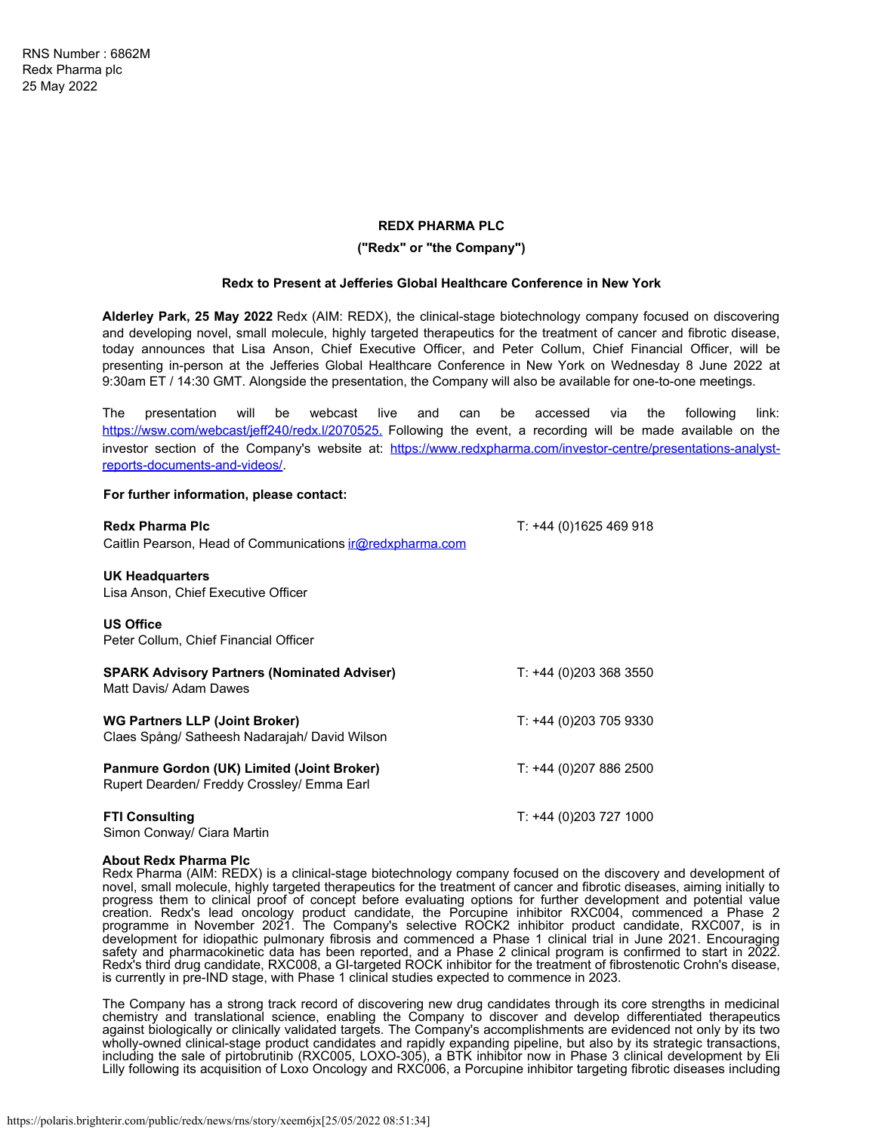# **REDX PHARMA PLC**

# **("Redx" or "the Company")**

### **Redx to Present at Jefferies Global Healthcare Conference in New York**

**Alderley Park, 25 May 2022** Redx (AIM: REDX), the clinical-stage biotechnology company focused on discovering and developing novel, small molecule, highly targeted therapeutics for the treatment of cancer and fibrotic disease, today announces that Lisa Anson, Chief Executive Officer, and Peter Collum, Chief Financial Officer, will be presenting in-person at the Jefferies Global Healthcare Conference in New York on Wednesday 8 June 2022 at 9:30am ET / 14:30 GMT. Alongside the presentation, the Company will also be available for one-to-one meetings.

The presentation will be webcast live and can be accessed via the following link: [https://wsw.com/webcast/jeff240/redx.l/2070525.](https://eur02.safelinks.protection.outlook.com/?url=https%3A%2F%2Fwsw.com%2Fwebcast%2Fjeff240%2Fredx.l%2F2070525&data=05%7C01%7Ce.sutton%40redxpharma.com%7C400a03e48fb741691a5108da3d858e52%7C2de6483c1fcf4e5fa199554e9c8a45e8%7C0%7C0%7C637889941071616563%7CUnknown%7CTWFpbGZsb3d8eyJWIjoiMC4wLjAwMDAiLCJQIjoiV2luMzIiLCJBTiI6Ik1haWwiLCJXVCI6Mn0%3D%7C3000%7C%7C%7C&sdata=tzG4M7Lp7xKymy%2Fv49jnLdtmFkf93Qw%2FTu4GdjtlVSw%3D&reserved=0) Following the event, a recording will be made available on the investor section of the Company's website at: [https://www.redxpharma.com/investor-centre/presentations-analyst](https://www.redxpharma.com/investor-centre/presentations-analyst-reports-documents-and-videos/)[reports-documents-and-videos/](https://www.redxpharma.com/investor-centre/presentations-analyst-reports-documents-and-videos/).

### **For further information, please contact:**

| <b>Redx Pharma Plc</b>                                                                   | T: +44 (0)1625 469 918 |
|------------------------------------------------------------------------------------------|------------------------|
| Caitlin Pearson, Head of Communications <i>ir@redxpharma.com</i>                         |                        |
| UK Headquarters<br>Lisa Anson, Chief Executive Officer                                   |                        |
| <b>US Office</b><br>Peter Collum, Chief Financial Officer                                |                        |
| <b>SPARK Advisory Partners (Nominated Adviser)</b><br>Matt Davis/ Adam Dawes             | T: +44 (0)203 368 3550 |
| <b>WG Partners LLP (Joint Broker)</b><br>Claes Spång/ Satheesh Nadarajah/ David Wilson   | T: +44 (0)203 705 9330 |
| Panmure Gordon (UK) Limited (Joint Broker)<br>Rupert Dearden/ Freddy Crossley/ Emma Earl | T: +44 (0)207 886 2500 |
| <b>FTI Consulting</b><br>Simon Conway/ Ciara Martin                                      | T: +44 (0)203 727 1000 |

### **About Redx Pharma Plc**

Redx Pharma (AIM: REDX) is a clinical-stage biotechnology company focused on the discovery and development of novel, small molecule, highly targeted therapeutics for the treatment of cancer and fibrotic diseases, aiming initially to progress them to clinical proof of concept before evaluating options for further development and potential value creation. Redx's lead oncology product candidate, the Porcupine inhibitor RXC004, commenced a Phase 2 programme in November 2021. The Company's selective ROCK2 inhibitor product candidate, RXC007, is in development for idiopathic pulmonary fibrosis and commenced a Phase 1 clinical trial in June 2021. Encouraging safety and pharmacokinetic data has been reported, and a Phase 2 clinical program is confirmed to start in 2022. Redx's third drug candidate, RXC008, a GI-targeted ROCK inhibitor for the treatment of fibrostenotic Crohn's disease, is currently in pre-IND stage, with Phase 1 clinical studies expected to commence in 2023.

The Company has a strong track record of discovering new drug candidates through its core strengths in medicinal chemistry and translational science, enabling the Company to discover and develop differentiated therapeutics against biologically or clinically validated targets. The Company's accomplishments are evidenced not only by its two wholly-owned clinical-stage product candidates and rapidly expanding pipeline, but also by its strategic transactions, including the sale of pirtobrutinib (RXC005, LOXO-305), a BTK inhibitor now in Phase 3 clinical development by Eli Lilly following its acquisition of Loxo Oncology and RXC006, a Porcupine inhibitor targeting fibrotic diseases including